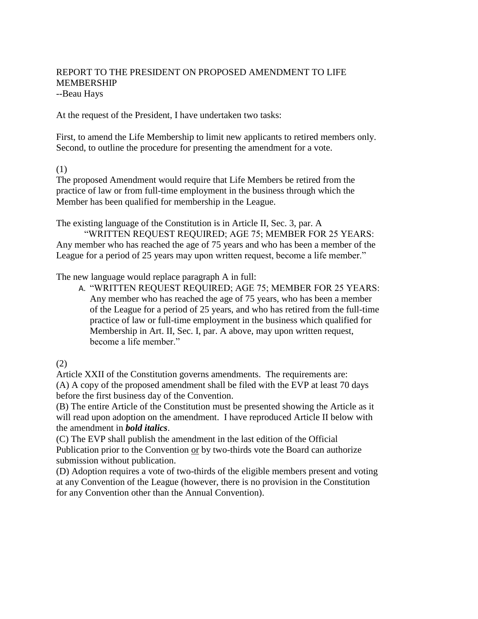# REPORT TO THE PRESIDENT ON PROPOSED AMENDMENT TO LIFE MEMBERSHIP --Beau Hays

At the request of the President, I have undertaken two tasks:

First, to amend the Life Membership to limit new applicants to retired members only. Second, to outline the procedure for presenting the amendment for a vote.

(1)

The proposed Amendment would require that Life Members be retired from the practice of law or from full-time employment in the business through which the Member has been qualified for membership in the League.

The existing language of the Constitution is in Article II, Sec. 3, par. A

"WRITTEN REQUEST REQUIRED; AGE 75; MEMBER FOR 25 YEARS: Any member who has reached the age of 75 years and who has been a member of the League for a period of 25 years may upon written request, become a life member."

The new language would replace paragraph A in full:

A. "WRITTEN REQUEST REQUIRED; AGE 75; MEMBER FOR 25 YEARS: Any member who has reached the age of 75 years, who has been a member of the League for a period of 25 years, and who has retired from the full-time practice of law or full-time employment in the business which qualified for Membership in Art. II, Sec. I, par. A above, may upon written request, become a life member."

(2)

Article XXII of the Constitution governs amendments. The requirements are: (A) A copy of the proposed amendment shall be filed with the EVP at least 70 days before the first business day of the Convention.

(B) The entire Article of the Constitution must be presented showing the Article as it will read upon adoption on the amendment. I have reproduced Article II below with the amendment in *bold italics*.

(C) The EVP shall publish the amendment in the last edition of the Official Publication prior to the Convention or by two-thirds vote the Board can authorize submission without publication.

(D) Adoption requires a vote of two-thirds of the eligible members present and voting at any Convention of the League (however, there is no provision in the Constitution for any Convention other than the Annual Convention).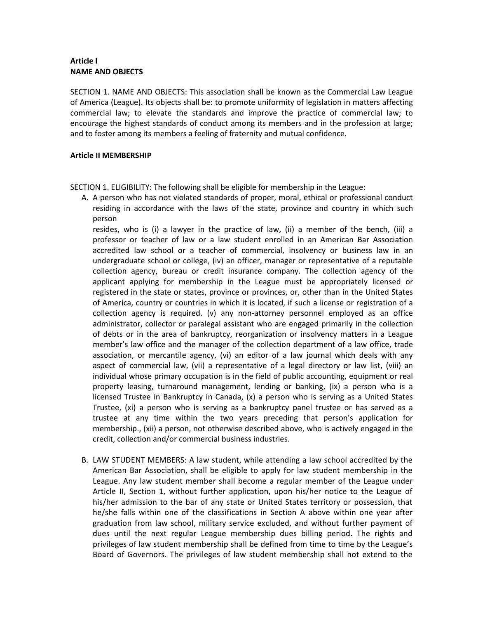## **Article I NAME AND OBJECTS**

SECTION 1. NAME AND OBJECTS: This association shall be known as the Commercial Law League of America (League). Its objects shall be: to promote uniformity of legislation in matters affecting commercial law; to elevate the standards and improve the practice of commercial law; to encourage the highest standards of conduct among its members and in the profession at large; and to foster among its members a feeling of fraternity and mutual confidence.

### **Article II MEMBERSHIP**

SECTION 1. ELIGIBILITY: The following shall be eligible for membership in the League:

A. A person who has not violated standards of proper, moral, ethical or professional conduct residing in accordance with the laws of the state, province and country in which such person

resides, who is (i) a lawyer in the practice of law, (ii) a member of the bench, (iii) a professor or teacher of law or a law student enrolled in an American Bar Association accredited law school or a teacher of commercial, insolvency or business law in an undergraduate school or college, (iv) an officer, manager or representative of a reputable collection agency, bureau or credit insurance company. The collection agency of the applicant applying for membership in the League must be appropriately licensed or registered in the state or states, province or provinces, or, other than in the United States of America, country or countries in which it is located, if such a license or registration of a collection agency is required. (v) any non-attorney personnel employed as an office administrator, collector or paralegal assistant who are engaged primarily in the collection of debts or in the area of bankruptcy, reorganization or insolvency matters in a League member's law office and the manager of the collection department of a law office, trade association, or mercantile agency, (vi) an editor of a law journal which deals with any aspect of commercial law, (vii) a representative of a legal directory or law list, (viii) an individual whose primary occupation is in the field of public accounting, equipment or real property leasing, turnaround management, lending or banking, (ix) a person who is a licensed Trustee in Bankruptcy in Canada, (x) a person who is serving as a United States Trustee, (xi) a person who is serving as a bankruptcy panel trustee or has served as a trustee at any time within the two years preceding that person's application for membership., (xii) a person, not otherwise described above, who is actively engaged in the credit, collection and/or commercial business industries.

B. LAW STUDENT MEMBERS: A law student, while attending a law school accredited by the American Bar Association, shall be eligible to apply for law student membership in the League. Any law student member shall become a regular member of the League under Article II, Section 1, without further application, upon his/her notice to the League of his/her admission to the bar of any state or United States territory or possession, that he/she falls within one of the classifications in Section A above within one year after graduation from law school, military service excluded, and without further payment of dues until the next regular League membership dues billing period. The rights and privileges of law student membership shall be defined from time to time by the League's Board of Governors. The privileges of law student membership shall not extend to the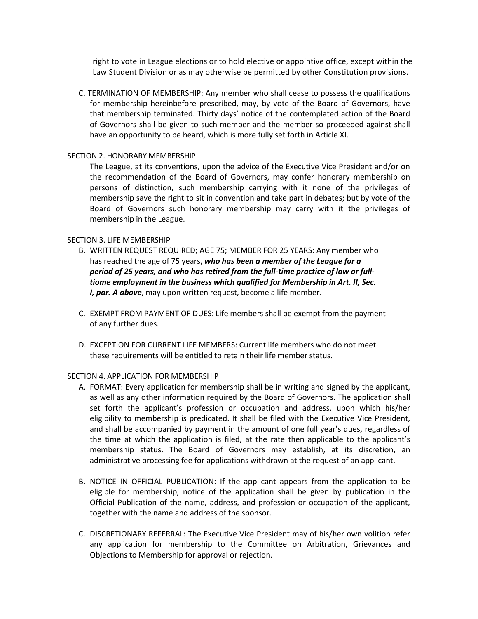right to vote in League elections or to hold elective or appointive office, except within the Law Student Division or as may otherwise be permitted by other Constitution provisions.

C. TERMINATION OF MEMBERSHIP: Any member who shall cease to possess the qualifications for membership hereinbefore prescribed, may, by vote of the Board of Governors, have that membership terminated. Thirty days' notice of the contemplated action of the Board of Governors shall be given to such member and the member so proceeded against shall have an opportunity to be heard, which is more fully set forth in Article XI.

#### SECTION 2. HONORARY MEMBERSHIP

The League, at its conventions, upon the advice of the Executive Vice President and/or on the recommendation of the Board of Governors, may confer honorary membership on persons of distinction, such membership carrying with it none of the privileges of membership save the right to sit in convention and take part in debates; but by vote of the Board of Governors such honorary membership may carry with it the privileges of membership in the League.

#### SECTION 3. LIFE MEMBERSHIP

- B. WRITTEN REQUEST REQUIRED; AGE 75; MEMBER FOR 25 YEARS: Any member who has reached the age of 75 years, *who has been a member of the League for a period of 25 years, and who has retired from the full-time practice of law or fulltiome employment in the business which qualified for Membership in Art. II, Sec. I, par. A above*, may upon written request, become a life member.
- C. EXEMPT FROM PAYMENT OF DUES: Life members shall be exempt from the payment of any further dues.
- D. EXCEPTION FOR CURRENT LIFE MEMBERS: Current life members who do not meet these requirements will be entitled to retain their life member status.

#### SECTION 4. APPLICATION FOR MEMBERSHIP

- A. FORMAT: Every application for membership shall be in writing and signed by the applicant, as well as any other information required by the Board of Governors. The application shall set forth the applicant's profession or occupation and address, upon which his/her eligibility to membership is predicated. It shall be filed with the Executive Vice President, and shall be accompanied by payment in the amount of one full year's dues, regardless of the time at which the application is filed, at the rate then applicable to the applicant's membership status. The Board of Governors may establish, at its discretion, an administrative processing fee for applications withdrawn at the request of an applicant.
- B. NOTICE IN OFFICIAL PUBLICATION: If the applicant appears from the application to be eligible for membership, notice of the application shall be given by publication in the Official Publication of the name, address, and profession or occupation of the applicant, together with the name and address of the sponsor.
- C. DISCRETIONARY REFERRAL: The Executive Vice President may of his/her own volition refer any application for membership to the Committee on Arbitration, Grievances and Objections to Membership for approval or rejection.